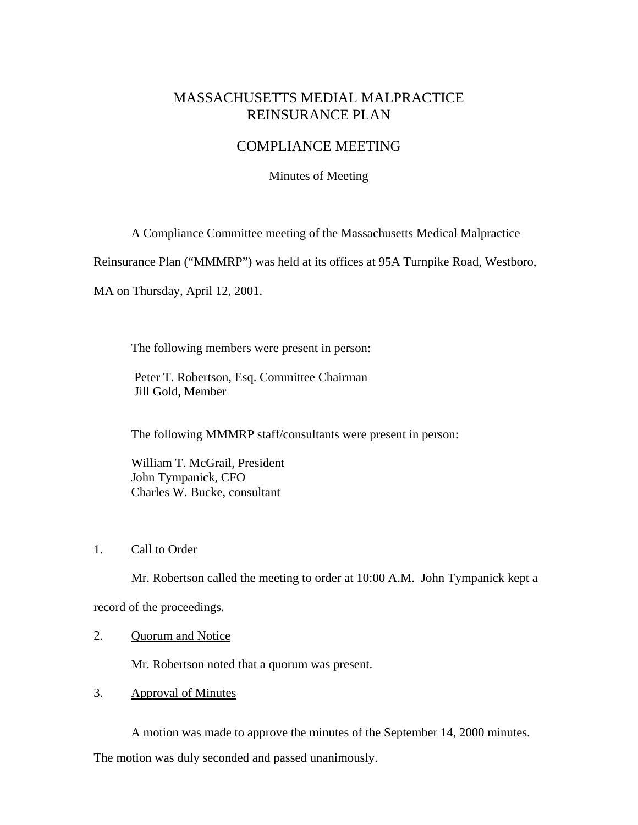# MASSACHUSETTS MEDIAL MALPRACTICE REINSURANCE PLAN

## COMPLIANCE MEETING

Minutes of Meeting

A Compliance Committee meeting of the Massachusetts Medical Malpractice

Reinsurance Plan ("MMMRP") was held at its offices at 95A Turnpike Road, Westboro,

MA on Thursday, April 12, 2001.

The following members were present in person:

 Peter T. Robertson, Esq. Committee Chairman Jill Gold, Member

The following MMMRP staff/consultants were present in person:

 William T. McGrail, President John Tympanick, CFO Charles W. Bucke, consultant

## 1. Call to Order

Mr. Robertson called the meeting to order at 10:00 A.M. John Tympanick kept a

record of the proceedings.

#### 2. Quorum and Notice

Mr. Robertson noted that a quorum was present.

3. Approval of Minutes

A motion was made to approve the minutes of the September 14, 2000 minutes.

The motion was duly seconded and passed unanimously.